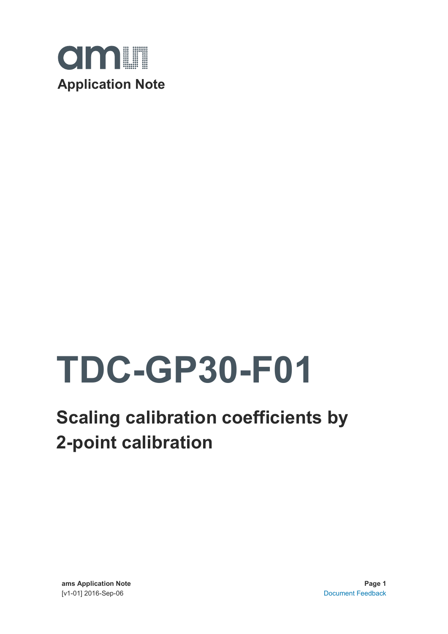

# **TDC-GP30-F01**

## **Scaling calibration coefficients by 2-point calibration**

**ams Application Note Page 1** [v1-01] 2016-Sep-06 [Document Feedback](http://www.ams.com/Document-Feedback)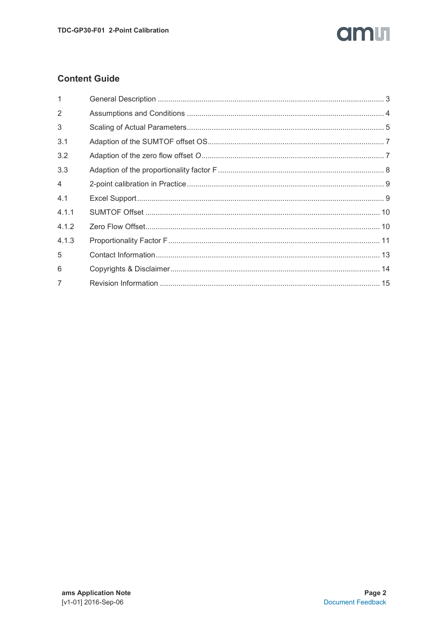### am

### **Content Guide**

| 1              |  |
|----------------|--|
| 2              |  |
| 3              |  |
| 3.1            |  |
| 3.2            |  |
| 3.3            |  |
| $\overline{4}$ |  |
| 4.1            |  |
| 4.1.1          |  |
| 4.1.2          |  |
| 4.1.3          |  |
| 5              |  |
| 6              |  |
| $\overline{7}$ |  |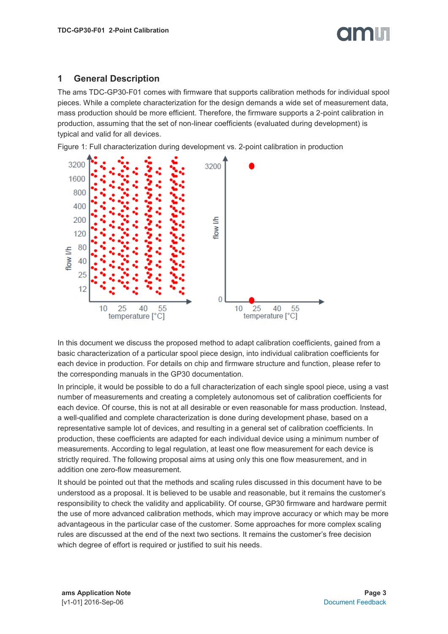#### <span id="page-2-0"></span>**1 General Description**

The ams TDC-GP30-F01 comes with firmware that supports calibration methods for individual spool pieces. While a complete characterization for the design demands a wide set of measurement data, mass production should be more efficient. Therefore, the firmware supports a 2-point calibration in production, assuming that the set of non-linear coefficients (evaluated during development) is typical and valid for all devices.

Figure 1: Full characterization during development vs. 2-point calibration in production



In this document we discuss the proposed method to adapt calibration coefficients, gained from a basic characterization of a particular spool piece design, into individual calibration coefficients for each device in production. For details on chip and firmware structure and function, please refer to the corresponding manuals in the GP30 documentation.

In principle, it would be possible to do a full characterization of each single spool piece, using a vast number of measurements and creating a completely autonomous set of calibration coefficients for each device. Of course, this is not at all desirable or even reasonable for mass production. Instead, a well-qualified and complete characterization is done during development phase, based on a representative sample lot of devices, and resulting in a general set of calibration coefficients. In production, these coefficients are adapted for each individual device using a minimum number of measurements. According to legal regulation, at least one flow measurement for each device is strictly required. The following proposal aims at using only this one flow measurement, and in addition one zero-flow measurement.

It should be pointed out that the methods and scaling rules discussed in this document have to be understood as a proposal. It is believed to be usable and reasonable, but it remains the customer's responsibility to check the validity and applicability. Of course, GP30 firmware and hardware permit the use of more advanced calibration methods, which may improve accuracy or which may be more advantageous in the particular case of the customer. Some approaches for more complex scaling rules are discussed at the end of the next two sections. It remains the customer's free decision which degree of effort is required or justified to suit his needs.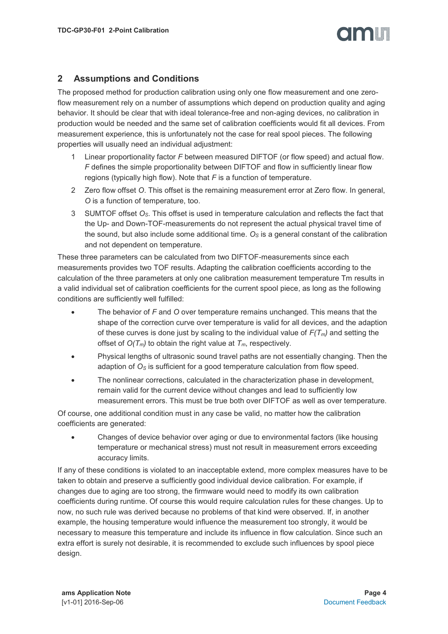### **TIONET**

#### <span id="page-3-0"></span>**2 Assumptions and Conditions**

The proposed method for production calibration using only one flow measurement and one zeroflow measurement rely on a number of assumptions which depend on production quality and aging behavior. It should be clear that with ideal tolerance-free and non-aging devices, no calibration in production would be needed and the same set of calibration coefficients would fit all devices. From measurement experience, this is unfortunately not the case for real spool pieces. The following properties will usually need an individual adjustment:

- 1 Linear proportionality factor *F* between measured DIFTOF (or flow speed) and actual flow. *F* defines the simple proportionality between DIFTOF and flow in sufficiently linear flow regions (typically high flow). Note that *F* is a function of temperature.
- 2 Zero flow offset *O*. This offset is the remaining measurement error at Zero flow. In general, *O* is a function of temperature, too.
- 3 SUMTOF offset *OS*. This offset is used in temperature calculation and reflects the fact that the Up- and Down-TOF-measurements do not represent the actual physical travel time of the sound, but also include some additional time. *O<sup>S</sup>* is a general constant of the calibration and not dependent on temperature.

These three parameters can be calculated from two DIFTOF-measurements since each measurements provides two TOF results. Adapting the calibration coefficients according to the calculation of the three parameters at only one calibration measurement temperature Tm results in a valid individual set of calibration coefficients for the current spool piece, as long as the following conditions are sufficiently well fulfilled:

- The behavior of *F* and *O* over temperature remains unchanged. This means that the shape of the correction curve over temperature is valid for all devices, and the adaption of these curves is done just by scaling to the individual value of *F(Tm)* and setting the offset of  $O(T_m)$  to obtain the right value at  $T_m$ , respectively.
- Physical lengths of ultrasonic sound travel paths are not essentially changing. Then the adaption of *O<sup>S</sup>* is sufficient for a good temperature calculation from flow speed.
- The nonlinear corrections, calculated in the characterization phase in development, remain valid for the current device without changes and lead to sufficiently low measurement errors. This must be true both over DIFTOF as well as over temperature.

Of course, one additional condition must in any case be valid, no matter how the calibration coefficients are generated:

 Changes of device behavior over aging or due to environmental factors (like housing temperature or mechanical stress) must not result in measurement errors exceeding accuracy limits.

If any of these conditions is violated to an inacceptable extend, more complex measures have to be taken to obtain and preserve a sufficiently good individual device calibration. For example, if changes due to aging are too strong, the firmware would need to modify its own calibration coefficients during runtime. Of course this would require calculation rules for these changes. Up to now, no such rule was derived because no problems of that kind were observed. If, in another example, the housing temperature would influence the measurement too strongly, it would be necessary to measure this temperature and include its influence in flow calculation. Since such an extra effort is surely not desirable, it is recommended to exclude such influences by spool piece design.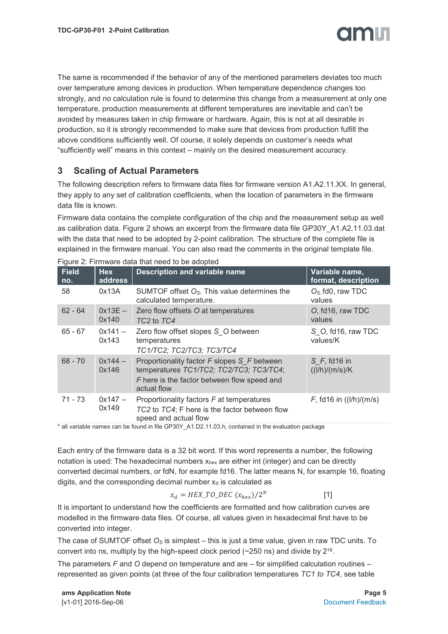

The same is recommended if the behavior of any of the mentioned parameters deviates too much over temperature among devices in production. When temperature dependence changes too strongly, and no calculation rule is found to determine this change from a measurement at only one temperature, production measurements at different temperatures are inevitable and can't be avoided by measures taken in chip firmware or hardware. Again, this is not at all desirable in production, so it is strongly recommended to make sure that devices from production fulfill the above conditions sufficiently well. Of course, it solely depends on customer's needs what "sufficiently well" means in this context – mainly on the desired measurement accuracy.

#### <span id="page-4-0"></span>**3 Scaling of Actual Parameters**

The following description refers to firmware data files for firmware version A1.A2.11.XX. In general, they apply to any set of calibration coefficients, when the location of parameters in the firmware data file is known.

Firmware data contains the complete configuration of the chip and the measurement setup as well as calibration data. Figure 2 shows an excerpt from the firmware data file GP30Y\_A1.A2.11.03.dat with the data that need to be adopted by 2-point calibration. The structure of the complete file is explained in the firmware manual. You can also read the comments in the original template file.

| $\sim$ 1991 $\sigma$ $\sim$ . The matrix divided that free a to be adopted. |                       |                                                                                                                                                      |                                       |  |  |  |
|-----------------------------------------------------------------------------|-----------------------|------------------------------------------------------------------------------------------------------------------------------------------------------|---------------------------------------|--|--|--|
| <b>Field</b><br>no.                                                         | <b>Hex</b><br>address | <b>Description and variable name</b>                                                                                                                 | Variable name,<br>format, description |  |  |  |
| 58                                                                          | 0x13A                 | SUMTOF offset $Os$ . This value determines the<br>calculated temperature.                                                                            | $OS$ fd0, raw TDC<br>values           |  |  |  |
| $62 - 64$                                                                   | $0x13E -$<br>0x140    | Zero flow offsets O at temperatures<br>TC <sub>2</sub> to TC <sub>4</sub>                                                                            | O, fd16, raw TDC<br>values            |  |  |  |
| $65 - 67$                                                                   | $0x141 -$<br>0x143    | Zero flow offset slopes S_O between<br>temperatures<br>TC1/TC2; TC2/TC3; TC3/TC4                                                                     | S O, fd16, raw TDC<br>values/K        |  |  |  |
| $68 - 70$                                                                   | $0x144 -$<br>0x146    | Proportionality factor F slopes S F between<br>temperatures TC1/TC2; TC2/TC3; TC3/TC4;<br>F here is the factor between flow speed and<br>actual flow | $S$ F, fd16 in<br>((I/h)/(m/s)/K)     |  |  |  |
| $71 - 73$                                                                   | $0x147 -$<br>0x149    | Proportionality factors F at temperatures<br>TC2 to TC4; F here is the factor between flow<br>speed and actual flow                                  | $F, f d 16$ in ((l/h)/(m/s)           |  |  |  |

Figure 2: Firmware data that need to be adopted

\* all variable names can be found in file GP30Y\_A1.D2.11.03.h, contained in the evaluation package

Each entry of the firmware data is a 32 bit word. If this word represents a number, the following notation is used: The hexadecimal numbers  $x_{hex}$  are either int (integer) and can be directly converted decimal numbers, or fdN, for example fd16. The latter means N, for example 16, floating digits, and the corresponding decimal number  $x_d$  is calculated as

#### $x_d = HEX\_TO\_DEC(x_{hex})/2^N$ [1]

It is important to understand how the coefficients are formatted and how calibration curves are modelled in the firmware data files. Of course, all values given in hexadecimal first have to be converted into integer.

The case of SUMTOF offset *O<sup>S</sup>* is simplest – this is just a time value, given in raw TDC units. To convert into ns, multiply by the high-speed clock period  $(\sim 250 \text{ ns})$  and divide by  $2^{16}$ .

The parameters *F* and *O* depend on temperature and are – for simplified calculation routines – represented as given points (at three of the four calibration temperatures *TC1 to TC4*, see table

**ams Application Note Page 5** [v1-01] 2016-Sep-06 [Document Feedback](http://www.ams.com/Document-Feedback)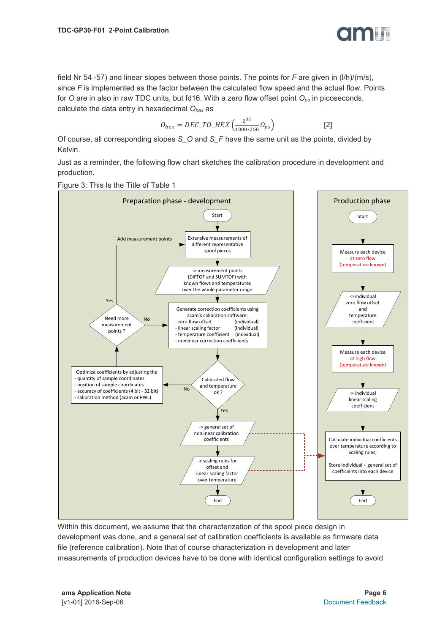

field Nr 54 -57) and linear slopes between those points. The points for *F* are given in (l/h)/(m/s), since *F* is implemented as the factor between the calculated flow speed and the actual flow. Points for *O* are in also in raw TDC units, but fd16. With a zero flow offset point *Ops* in picoseconds, calculate the data entry in hexadecimal *Ohex* as

$$
O_{hex} = DEC\_TO\_HEX \left( \frac{2^{32}}{1000*250} O_{ps} \right)
$$
 [2]

Of course, all corresponding slopes *S\_O* and *S\_F* have the same unit as the points, divided by Kelvin.

Just as a reminder, the following flow chart sketches the calibration procedure in development and production.



Within this document, we assume that the characterization of the spool piece design in development was done, and a general set of calibration coefficients is available as firmware data file (reference calibration). Note that of course characterization in development and later measurements of production devices have to be done with identical configuration settings to avoid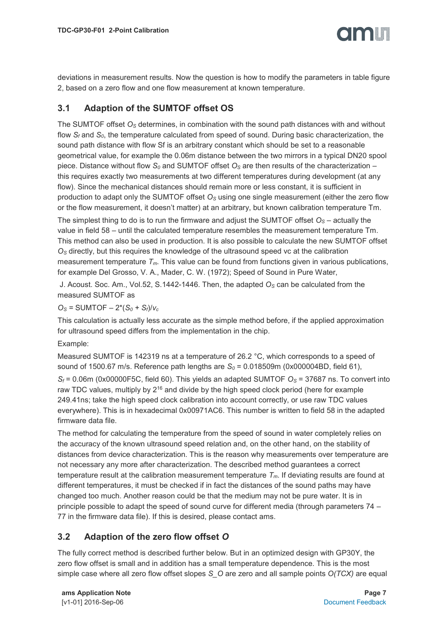deviations in measurement results. Now the question is how to modify the parameters in table figure 2, based on a zero flow and one flow measurement at known temperature.

#### <span id="page-6-0"></span>**3.1 Adaption of the SUMTOF offset OS**

The SUMTOF offset *O<sup>S</sup>* determines, in combination with the sound path distances with and without flow *S<sup>f</sup>* and *S0*, the temperature calculated from speed of sound. During basic characterization, the sound path distance with flow Sf is an arbitrary constant which should be set to a reasonable geometrical value, for example the 0.06m distance between the two mirrors in a typical DN20 spool piece. Distance without flow *S<sup>0</sup>* and SUMTOF offset *O<sup>S</sup>* are then results of the characterization – this requires exactly two measurements at two different temperatures during development (at any flow). Since the mechanical distances should remain more or less constant, it is sufficient in production to adapt only the SUMTOF offset *O<sup>S</sup>* using one single measurement (either the zero flow or the flow measurement, it doesn't matter) at an arbitrary, but known calibration temperature Tm.

The simplest thing to do is to run the firmware and adjust the SUMTOF offset *O<sup>S</sup>* – actually the value in field 58 – until the calculated temperature resembles the measurement temperature Tm. This method can also be used in production. It is also possible to calculate the new SUMTOF offset *O<sup>S</sup>* directly, but this requires the knowledge of the ultrasound speed vc at the calibration measurement temperature *Tm*. This value can be found from functions given in various publications, for example Del Grosso, V. A., Mader, C. W. (1972); Speed of Sound in Pure Water,

J. Acoust. Soc. Am., Vol.52, S.1442-1446. Then, the adapted *O<sup>S</sup>* can be calculated from the measured SUMTOF as

 $O_S$  = SUMTOF  $- 2*(S_0 + S_f)/V_c$ 

This calculation is actually less accurate as the simple method before, if the applied approximation for ultrasound speed differs from the implementation in the chip.

Example:

Measured SUMTOF is 142319 ns at a temperature of 26.2 °C, which corresponds to a speed of sound of 1500.67 m/s. Reference path lengths are *S<sup>0</sup>* = 0.018509m (0x000004BD, field 61),  $S_f$  = 0.06m (0x00000F5C, field 60). This yields an adapted SUMTOF  $O_s$  = 37687 ns. To convert into

raw TDC values, multiply by 2<sup>16</sup> and divide by the high speed clock period (here for example 249.41ns; take the high speed clock calibration into account correctly, or use raw TDC values everywhere). This is in hexadecimal 0x00971AC6. This number is written to field 58 in the adapted firmware data file.

The method for calculating the temperature from the speed of sound in water completely relies on the accuracy of the known ultrasound speed relation and, on the other hand, on the stability of distances from device characterization. This is the reason why measurements over temperature are not necessary any more after characterization. The described method guarantees a correct temperature result at the calibration measurement temperature  $T<sub>m</sub>$ . If deviating results are found at different temperatures, it must be checked if in fact the distances of the sound paths may have changed too much. Another reason could be that the medium may not be pure water. It is in principle possible to adapt the speed of sound curve for different media (through parameters 74 – 77 in the firmware data file). If this is desired, please contact ams.

#### <span id="page-6-1"></span>**3.2 Adaption of the zero flow offset** *O*

The fully correct method is described further below. But in an optimized design with GP30Y, the zero flow offset is small and in addition has a small temperature dependence. This is the most simple case where all zero flow offset slopes *S\_O* are zero and all sample points *O(TCX)* are equal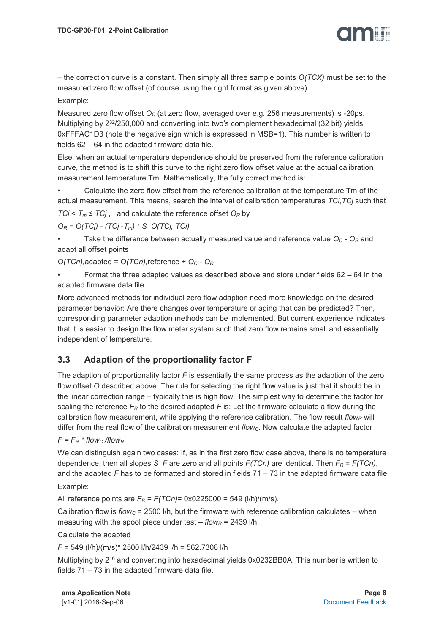

– the correction curve is a constant. Then simply all three sample points *O(TCX)* must be set to the measured zero flow offset (of course using the right format as given above).

#### Example:

Measured zero flow offset *O<sup>C</sup>* (at zero flow, averaged over e.g. 256 measurements) is -20ps. Multiplying by 2<sup>32</sup>/250,000 and converting into two's complement hexadecimal (32 bit) yields 0xFFFAC1D3 (note the negative sign which is expressed in MSB=1). This number is written to fields 62 – 64 in the adapted firmware data file.

Else, when an actual temperature dependence should be preserved from the reference calibration curve, the method is to shift this curve to the right zero flow offset value at the actual calibration measurement temperature Tm. Mathematically, the fully correct method is:

• Calculate the zero flow offset from the reference calibration at the temperature Tm of the actual measurement. This means, search the interval of calibration temperatures *TCi*,*TCj* such that  $TCi < T_m \leq TCj$ , and calculate the reference offset  $O_R$  by

*O<sup>R</sup> = O(TCj) - (TCj* -*Tm)* \* *S\_O(TCj, TCi)*

• Take the difference between actually measured value and reference value *O<sup>C</sup>* - *O<sup>R</sup>* and adapt all offset points

*O(TCn),*adapted = *O(TCn),*reference + *O<sup>C</sup>* - *O<sup>R</sup>*

Format the three adapted values as described above and store under fields  $62 - 64$  in the adapted firmware data file.

More advanced methods for individual zero flow adaption need more knowledge on the desired parameter behavior: Are there changes over temperature or aging that can be predicted? Then, corresponding parameter adaption methods can be implemented. But current experience indicates that it is easier to design the flow meter system such that zero flow remains small and essentially independent of temperature.

#### <span id="page-7-0"></span>**3.3 Adaption of the proportionality factor F**

The adaption of proportionality factor *F* is essentially the same process as the adaption of the zero flow offset *O* described above. The rule for selecting the right flow value is just that it should be in the linear correction range – typically this is high flow. The simplest way to determine the factor for scaling the reference  $F_R$  to the desired adapted  $F$  is: Let the firmware calculate a flow during the calibration flow measurement, while applying the reference calibration. The flow result  $flow<sub>R</sub>$  will differ from the real flow of the calibration measurement *flowC*. Now calculate the adapted factor

 $F = F_R * flow_C / flow_R$ .

We can distinguish again two cases: If, as in the first zero flow case above, there is no temperature dependence, then all slopes *S\_F* are zero and all points  $F(TCn)$  are identical. Then  $F_R = F(TCn)$ , and the adapted *F* has to be formatted and stored in fields 71 – 73 in the adapted firmware data file. Example:

All reference points are  $F_R$  =  $F(TCn)$ = 0x0225000 = 549 (l/h)/(m/s).

Calibration flow is  $flow_c = 2500$  I/h, but the firmware with reference calibration calculates – when measuring with the spool piece under test  $-$  *flow<sub>R</sub>* = 2439 l/h.

Calculate the adapted

*F* = 549 (l/h)/(m/s)\* 2500 l/h/2439 l/h = 562.7306 l/h

Multiplying by 2<sup>16</sup> and converting into hexadecimal yields 0x0232BB0A. This number is written to fields 71 – 73 in the adapted firmware data file.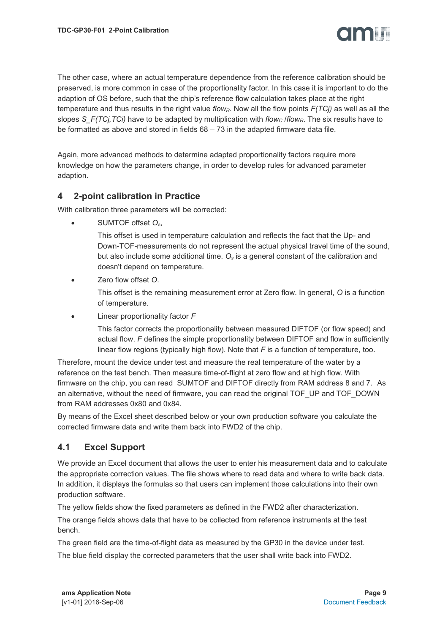

The other case, where an actual temperature dependence from the reference calibration should be preserved, is more common in case of the proportionality factor. In this case it is important to do the adaption of OS before, such that the chip's reference flow calculation takes place at the right temperature and thus results in the right value *flowR*. Now all the flow points *F(TCj)* as well as all the slopes *S\_F(TCj,TCi)* have to be adapted by multiplication with *flow<sub>c</sub>* /*flow<sub>R</sub>*. The six results have to be formatted as above and stored in fields  $68 - 73$  in the adapted firmware data file.

Again, more advanced methods to determine adapted proportionality factors require more knowledge on how the parameters change, in order to develop rules for advanced parameter adaption.

#### <span id="page-8-0"></span>**4 2-point calibration in Practice**

With calibration three parameters will be corrected:

SUMTOF offset *Os*,

This offset is used in temperature calculation and reflects the fact that the Up- and Down-TOF-measurements do not represent the actual physical travel time of the sound, but also include some additional time. *O<sup>s</sup>* is a general constant of the calibration and doesn't depend on temperature.

Zero flow offset *O*.

This offset is the remaining measurement error at Zero flow. In general, *O* is a function of temperature.

Linear proportionality factor *F*

This factor corrects the proportionality between measured DIFTOF (or flow speed) and actual flow. *F* defines the simple proportionality between DIFTOF and flow in sufficiently linear flow regions (typically high flow). Note that *F* is a function of temperature, too.

Therefore, mount the device under test and measure the real temperature of the water by a reference on the test bench. Then measure time-of-flight at zero flow and at high flow. With firmware on the chip, you can read SUMTOF and DIFTOF directly from RAM address 8 and 7. As an alternative, without the need of firmware, you can read the original TOF\_UP and TOF\_DOWN from RAM addresses 0x80 and 0x84.

By means of the Excel sheet described below or your own production software you calculate the corrected firmware data and write them back into FWD2 of the chip.

#### <span id="page-8-1"></span>**4.1 Excel Support**

We provide an Excel document that allows the user to enter his measurement data and to calculate the appropriate correction values. The file shows where to read data and where to write back data. In addition, it displays the formulas so that users can implement those calculations into their own production software.

The yellow fields show the fixed parameters as defined in the FWD2 after characterization.

The orange fields shows data that have to be collected from reference instruments at the test bench.

The green field are the time-of-flight data as measured by the GP30 in the device under test. The blue field display the corrected parameters that the user shall write back into FWD2.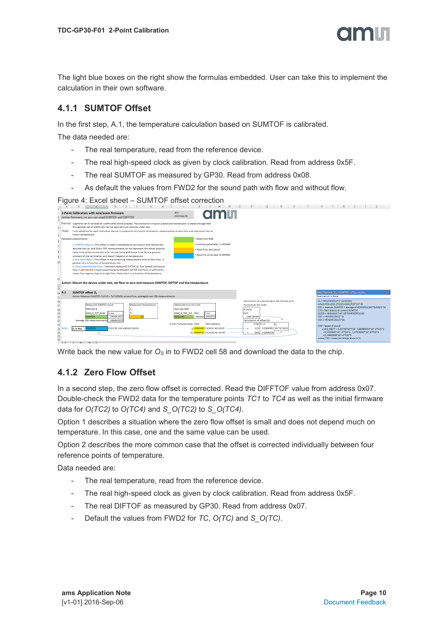The light blue boxes on the right show the formulas embedded. User can take this to implement the calculation in their own software.

#### <span id="page-9-0"></span>**4.1.1 SUMTOF Offset**

In the first step, A.1, the temperature calculation based on SUMTOF is calibrated.

The data needed are:

- The real temperature, read from the reference device.
- The real high-speed clock as given by clock calibration. Read from address 0x5F.
- The real SUMTOF as measured by GP30. Read from address 0x08.
- As default the values from FWD2 for the sound path with flow and without flow.

Figure 4: Excel sheet – SUMTOF offset correction

|                                                                                                            | 2-Point Calibration with ams/acam Firmware<br>Active firmware, so you can read SUMTOF and DIFFTOF                                                                                                                                                                                                                                                                                                                                                                                                                                                                                                                                                                                                                                                                                                                                                                                                                                                                                                                                                                                                                                                                | <b>amin</b><br>v0.4<br>2016-Sep-06                                                                                                                                                                                                     |                                                                                                                                                                                                                  |                                                                                                                                                                                                                                                                                                                                                                                                                                                                                                 |
|------------------------------------------------------------------------------------------------------------|------------------------------------------------------------------------------------------------------------------------------------------------------------------------------------------------------------------------------------------------------------------------------------------------------------------------------------------------------------------------------------------------------------------------------------------------------------------------------------------------------------------------------------------------------------------------------------------------------------------------------------------------------------------------------------------------------------------------------------------------------------------------------------------------------------------------------------------------------------------------------------------------------------------------------------------------------------------------------------------------------------------------------------------------------------------------------------------------------------------------------------------------------------------|----------------------------------------------------------------------------------------------------------------------------------------------------------------------------------------------------------------------------------------|------------------------------------------------------------------------------------------------------------------------------------------------------------------------------------------------------------------|-------------------------------------------------------------------------------------------------------------------------------------------------------------------------------------------------------------------------------------------------------------------------------------------------------------------------------------------------------------------------------------------------------------------------------------------------------------------------------------------------|
| 6.<br>8<br>$\overline{9}$<br>10                                                                            | Premise: A general set of calibration coefficients exists already. The production of spool pieces and transducers is stable enough that<br>this general set of coefficient can be applied to all devices under test.<br>Target: Final adoption for each individual device in production by 2-point calibration, measurement of zero flow and maximum flow at<br>known temperature.<br>Necessary adjustments:<br>1. SUMTOF offset O., This offset is used in temperature calculation and reflects the<br>fact that the Up- and Down-TOF-measurements do not represent the actual physical<br>travel time of the sound, but also include some additional time. O, is a general<br>constant of the calibration and doesn't depend on temperature.<br>2. Zero flow offset 0. This offset is the remaining measurement error at Zero flow. In<br>general. O is a function of temperature, too.<br>3. Linear proportionality factor F between measured DIFTOF (or flow speed) and actual<br>flow. F defines the simple proportionality between DIFTOF and flow in sufficiently<br>linear flow regions (typically high flow). Note that F is a function of temperature. | = Read from RAM<br>- Common parameter, in NVRAM<br>= Read from test bench<br>- Result to write back to NVRAM                                                                                                                           |                                                                                                                                                                                                                  |                                                                                                                                                                                                                                                                                                                                                                                                                                                                                                 |
| 11<br>12<br>$\overline{13}$                                                                                | Action: Mount the device under test, set flow to zero and measure SUMTOF, DIFTOF and the temperature.                                                                                                                                                                                                                                                                                                                                                                                                                                                                                                                                                                                                                                                                                                                                                                                                                                                                                                                                                                                                                                                            |                                                                                                                                                                                                                                        |                                                                                                                                                                                                                  |                                                                                                                                                                                                                                                                                                                                                                                                                                                                                                 |
| 14 A.1<br>15                                                                                               | <b>SUMTOF offset O.</b><br>Action: Measure SUMTOF (Tof UP + ToF DOWN) at zero flow, averaged over 256 measurements                                                                                                                                                                                                                                                                                                                                                                                                                                                                                                                                                                                                                                                                                                                                                                                                                                                                                                                                                                                                                                               |                                                                                                                                                                                                                                        |                                                                                                                                                                                                                  | Basic formula: $O_7$ = SUMTOF - 2*(S <sub>o</sub> + S <sub>r</sub> )/v,<br><b>Realization in Excel:</b>                                                                                                                                                                                                                                                                                                                                                                                         |
| 16<br>17<br>18<br>19<br>20<br>21<br>22<br>$\begin{array}{c} 23 \\ 24 \\ 25 \end{array}$<br>$\overline{26}$ | <b>Measured SUMTOF value</b><br><b>Measured Temperature</b><br>RAM Adr 8<br>т.,<br>٩è<br><b>RAM R TOF SUM</b><br>in ns<br><b>24A454A</b><br>146484.022<br>146484.022<br>Average 256 measuremnent<br>10A3354C<br>Field 58, Hex address 0x13A<br>O <sub>s</sub> in Hex                                                                                                                                                                                                                                                                                                                                                                                                                                                                                                                                                                                                                                                                                                                                                                                                                                                                                             | Measured true HS clock<br>Ram adr 0x5F<br>RAM R TDC CLK MHz<br>T <sub>ns</sub><br>4002284 249.8573<br>003D11EC<br>Initial firmware data: FWD<br><b>FWD address</b><br>c. 0000048D Field 61 Adr 0x130<br>So 00000F5C Field 60 Adr 0x13B | Calculation of v. according to Del Grosso et al.<br>Polynomial 5th order<br>$v_r$ [m/s]<br>PolS<br>1485.384364<br>Calculation of offset Os:<br>S Declinm<br>0.01850891 40778.76335<br>1213<br>3932<br>0.05999756 | Os = DEC2HEX(R23*2^16/SLS20)<br>where R23=(D21-2*(Q23+Q24)/P20*10^-9)<br>D21 = measure SUMTOF = average of HEX2DEC(C20)*SLS20/2^16<br>C20 = Ram address 8 content SUMTOF<br>\$L\$20 = calibrated Tref =10^9/HEX2DEC(J20)<br>$O23 = HEX2DECISf1/2^*16$<br>O24 = HEX2DEC(So)/2^16<br>P20 = Speed of sound<br>$-1402.38677 + 5.03798765 + 18 - 5.80980033 - 10^2 - 2720^2$<br>+3,3429665*10^-4*F20^3 - 1,47936902*10^-6*F20^4<br>+3.14893508*10^-9*F20^5<br>where F20 = measured temperature in °C |

Write back the new value for *O<sup>S</sup>* in to FWD2 cell 58 and download the data to the chip.

#### <span id="page-9-1"></span>**4.1.2 Zero Flow Offset**

In a second step, the zero flow offset is corrected. Read the DIFFTOF value from address 0x07. Double-check the FWD2 data for the temperature points *TC1* to *TC4* as well as the initial firmware data for *O(TC2)* to *O(TC4)* and *S\_O(TC2)* to *S\_O(TC4)*.

Option 1 describes a situation where the zero flow offset is small and does not depend much on temperature. In this case, one and the same value can be used.

Option 2 describes the more common case that the offset is corrected individually between four reference points of temperature.

Data needed are:

- The real temperature, read from the reference device.
- The real high-speed clock as given by clock calibration. Read from address 0x5F.
- The real DIFTOF as measured by GP30. Read from address 0x07.
- Default the values from FWD2 for *TC*, *O(TC)* and *S\_O(TC)*.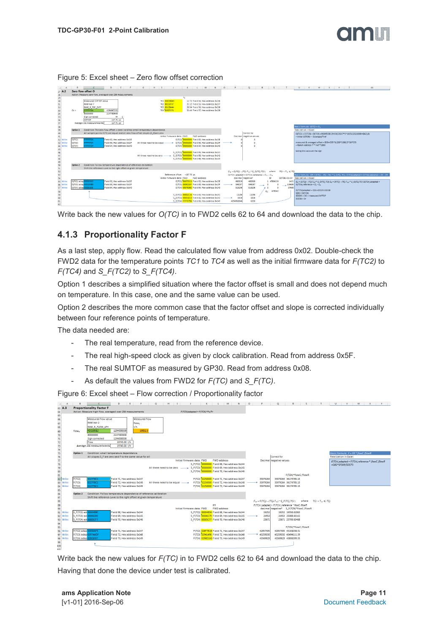|                                                                |                                                                               |                                                                                                                                                                                                                            | $\overline{G}$                                                                                                                                                                                                                                                                                                                                                                   | $H$   1   J   K   L   M   N   O   P   Q   R   S   T   U   V   W   X   Y   Z                                                                                                                                                                                                                                                                                                                                                                                                                                                                                                                                                                                                                                                                                                                                                 | AA |
|----------------------------------------------------------------|-------------------------------------------------------------------------------|----------------------------------------------------------------------------------------------------------------------------------------------------------------------------------------------------------------------------|----------------------------------------------------------------------------------------------------------------------------------------------------------------------------------------------------------------------------------------------------------------------------------------------------------------------------------------------------------------------------------|-----------------------------------------------------------------------------------------------------------------------------------------------------------------------------------------------------------------------------------------------------------------------------------------------------------------------------------------------------------------------------------------------------------------------------------------------------------------------------------------------------------------------------------------------------------------------------------------------------------------------------------------------------------------------------------------------------------------------------------------------------------------------------------------------------------------------------|----|
| $27 \, \text{A.2}$                                             |                                                                               | Zero flow offset O                                                                                                                                                                                                         |                                                                                                                                                                                                                                                                                                                                                                                  |                                                                                                                                                                                                                                                                                                                                                                                                                                                                                                                                                                                                                                                                                                                                                                                                                             |    |
| 28                                                             |                                                                               | Action: Measure zero flow, averaged over 256 measurements                                                                                                                                                                  |                                                                                                                                                                                                                                                                                                                                                                                  |                                                                                                                                                                                                                                                                                                                                                                                                                                                                                                                                                                                                                                                                                                                                                                                                                             |    |
| 29 30 31 32 33 34 35 36 37                                     | $Oc =$                                                                        | Measured DIFTOF value<br>RAM Adr 7<br>RAM R TOF DIFF<br>4294967252<br><b>FFFFFD4</b><br>80000000<br>2147483648<br>$44 - 1$<br>Sign corrected<br><b>DIFTOF</b><br>$-167.75$ ps<br>$-167.75$ ps<br>Average 256 measuremnents | TC1 000CB86D<br>12.72 Field 54. Hex address 0x136<br>TC2 00151F37<br>21.12 Field 55. Hex address 0x137<br>TC3 001C8A44<br>28.54 Field 56. Hex address 0x138<br>TC4 00357176<br>53.44 Field 57. Hex address 0x139                                                                                                                                                                 | Basic formula: O(TC) = O.                                                                                                                                                                                                                                                                                                                                                                                                                                                                                                                                                                                                                                                                                                                                                                                                   |    |
| 38<br>39<br>40                                                 | Option 1                                                                      | Condition: The zero flow offset is small and has small temperature dependence                                                                                                                                              |                                                                                                                                                                                                                                                                                                                                                                                  | <b>Realization in Excel:</b>                                                                                                                                                                                                                                                                                                                                                                                                                                                                                                                                                                                                                                                                                                                                                                                                |    |
|                                                                |                                                                               | All sample points O(TX) are equal and all zero flow offset slopes (S_O)are zero                                                                                                                                            |                                                                                                                                                                                                                                                                                                                                                                                  | Correct for                                                                                                                                                                                                                                                                                                                                                                                                                                                                                                                                                                                                                                                                                                                                                                                                                 |    |
| 41                                                             |                                                                               |                                                                                                                                                                                                                            | Initial firmware data: FWD<br><b>FWD address</b>                                                                                                                                                                                                                                                                                                                                 | O(TC2) = O(TC3) = O(TC4) =RIGHT(DEC2HEX(SDS37*2^16/SLS20/1000+Q42);8)<br>Decimal Inegative values<br>= initial O(TCN) + Osset(ps)/Tref                                                                                                                                                                                                                                                                                                                                                                                                                                                                                                                                                                                                                                                                                      |    |
| 42 Write                                                       | O(TC2)                                                                        | FFFFFD4<br>Field 62. Hex address 0x13E                                                                                                                                                                                     | OITC2) 00000000 Field 62. Hex address 0x13E                                                                                                                                                                                                                                                                                                                                      |                                                                                                                                                                                                                                                                                                                                                                                                                                                                                                                                                                                                                                                                                                                                                                                                                             |    |
| 43 Write                                                       | O(TC3)                                                                        | <b>FFFFFD4</b><br>Field 63, Hex address 0x13F                                                                                                                                                                              | OITC31<br>00000000 Field 63. Hex address 0x13F<br>All three need to be equal-                                                                                                                                                                                                                                                                                                    | measured & averaged offset = D36+D35*SLS20*1000/2^16*E35                                                                                                                                                                                                                                                                                                                                                                                                                                                                                                                                                                                                                                                                                                                                                                    |    |
| 44 Write                                                       | O(TCA)                                                                        | FFFFFD4<br>Field 64. Hex address 0x140                                                                                                                                                                                     | 00000 Field 64. Hex address 0x140<br>OITC41                                                                                                                                                                                                                                                                                                                                      | - Ramm address 7 * Tref *1000                                                                                                                                                                                                                                                                                                                                                                                                                                                                                                                                                                                                                                                                                                                                                                                               |    |
| 45 46 47 48 49 50 51 52 53 54                                  |                                                                               |                                                                                                                                                                                                                            | S_O(TC2)<br>0000000 Field 65. Hex address 0x141<br>All three need to be zero - > S. OITC3)<br>000 Field 66, Hex address 0x142<br>S O(TC4) 00000000 Field 66, Hex address 0x143                                                                                                                                                                                                   | taking into account the sign                                                                                                                                                                                                                                                                                                                                                                                                                                                                                                                                                                                                                                                                                                                                                                                                |    |
|                                                                | Condition: Follow temperature dependence of reference calibration<br>Option 2 |                                                                                                                                                                                                                            |                                                                                                                                                                                                                                                                                                                                                                                  |                                                                                                                                                                                                                                                                                                                                                                                                                                                                                                                                                                                                                                                                                                                                                                                                                             |    |
|                                                                |                                                                               | Shift the reference curve to the right offset at given temperature                                                                                                                                                         |                                                                                                                                                                                                                                                                                                                                                                                  |                                                                                                                                                                                                                                                                                                                                                                                                                                                                                                                                                                                                                                                                                                                                                                                                                             |    |
| 55 Write<br>56 Write<br>57 Write<br>58<br>59<br>60<br>61<br>62 | OffC21 adapt<br>O(TC4) adap 000092E8                                          | Field 62, Hex address 0x13E<br>10580<br>O(TC3) adac 0001D389<br>Field 63. Hex address 0x13F<br>Field 64, Hex address 0x140                                                                                                 | Reference offset: -167.75 ps<br>Initial firmware data: FWD<br><b>FWD address</b><br>OITC2) 00075313 Field 62. Hex address 0x13E<br>OITC3) 0009210F Field 63, Hex address 0x13F<br>O(TC4) 0007E06E Field 64, Hex address 0x140<br>S_O[TC2) 00002C16 Field 65, Hex address 0x141<br>S O(TC3) 00001810 Field 66, Hex address 0x142<br>S_OITC4) FFFFE796 Field 66, Hex address 0x143 | $O_B = O(TGJ) - (TCJ-Tm) * S_0(TGJ,TCI)$<br>where $TCI \times T_-\leq TCI$<br>Basic formula: OR = O(TCj) - (TCj -Tm) * S_O(TCj, TO), O(TCn),adapted = O(TCn),reference + OC - OR<br>$O(TCn)$ , adapted = $O(TCn)$ , reference + $O_n$ - $O_n$<br>decimal negative?<br>O(TCN)+Oc-Or Realization in Excel:<br>Or<br>480019<br>1 478642.9<br>480019<br>1421 $O_n = O(TC_i) - (TC_i - T_m) * S\_O(TC_i, TC_i)$ $O_n = O(TC_i) - (TC_i - T_m) * S\_O(TC_i, TC_i)$ $O(TCn)$ , adapted =<br>598287<br>598287<br>$119689$ O(TCn), reference + O <sub>c</sub> - O <sub>n</sub><br>n<br>$\overline{\phantom{a}}$<br>516206<br>516206<br>37608<br>O(TCN)adapted = Q55+\$D\$35-\$5\$58<br>$Q_6$ ; 478642<br>$Q55 = O(TCN)$<br>11286<br>11286<br>$SDS35 = OC = measured DIFFOF$<br>6928<br>6928<br>$SSSS8 = Or$<br>$-6250$<br>4294961046 |    |

#### Figure 5: Excel sheet – Zero flow offset correction

Write back the new values for *O(TC)* in to FWD2 cells 62 to 64 and download the data to the chip.

#### <span id="page-10-0"></span>**4.1.3 Proportionality Factor F**

As a last step, apply flow. Read the calculated flow value from address 0x02. Double-check the FWD2 data for the temperature points *TC1* to *TC4* as well as the initial firmware data for *F(TC2)* to *F(TC4)* and *S\_F(TC2)* to *S\_F(TC4)*.

Option 1 describes a simplified situation where the factor offset is small and does not depend much on temperature. In this case, one and the same value can be used.

Option 2 describes the more common case that the factor offset and slope is corrected individually between four reference points of temperature.

The data needed are:

- The real temperature, read from the reference device.
- The real high-speed clock as given by clock calibration. Read from address 0x5F.
- The real SUMTOF as measured by GP30. Read from address 0x08.
- As default the values from FWD2 for *F(TC)* and *S\_F(TC)*.

Figure 6: Excel sheet – Flow correction / Proportionality factor



Write back the new values for *F(TC)* in to FWD2 cells 62 to 64 and download the data to the chip. Having that done the device under test is calibrated.

**ams Application Note Page 11** [v1-01] 2016-Sep-06 [Document Feedback](http://www.ams.com/Document-Feedback)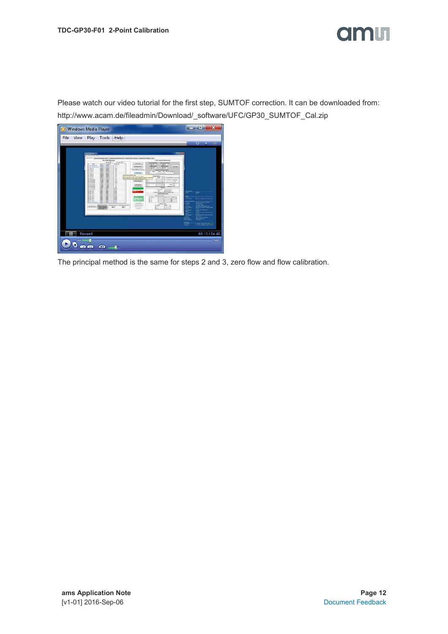

Please watch our video tutorial for the first step, SUMTOF correction. It can be downloaded from: http://www.acam.de/fileadmin/Download/\_software/UFC/GP30\_SUMTOF\_Cal.zip



The principal method is the same for steps 2 and 3, zero flow and flow calibration.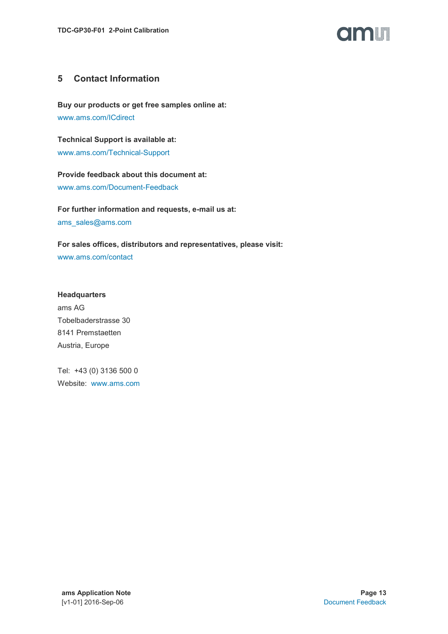

#### <span id="page-12-0"></span>**5 Contact Information**

**Buy our products or get free samples online at:** [www.ams.com/ICdirect](http://www.ams.com/ICdirect)

**Technical Support is available at:** [www.ams.com/Technical-Support](http://www.ams.com/Technical-Support)

**Provide feedback about this document at:** [www.ams.com/Document-Feedback](http://www.ams.com/Document-Feedback)

**For further information and requests, e-mail us at:** [ams\\_sales@ams.com](mailto:ams_sales@ams.com)

**For sales offices, distributors and representatives, please visit:**  [www.ams.com/contact](http://www.ams.com/contact)

**Headquarters** ams AG Tobelbaderstrasse 30 8141 Premstaetten Austria, Europe

Tel: +43 (0) 3136 500 0 Website: [www.ams.com](http://www.ams.com/)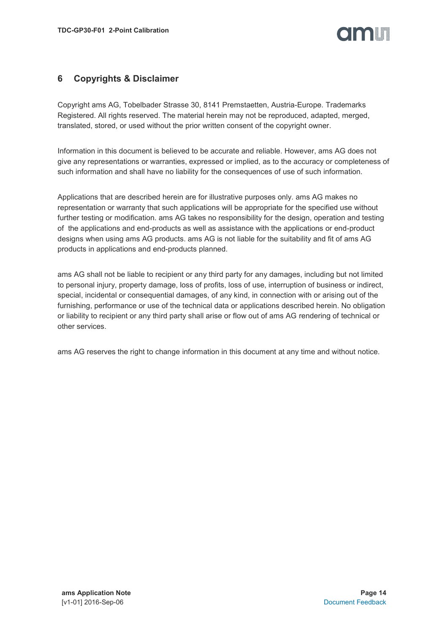### TION T

#### <span id="page-13-0"></span>**6 Copyrights & Disclaimer**

Copyright ams AG, Tobelbader Strasse 30, 8141 Premstaetten, Austria-Europe. Trademarks Registered. All rights reserved. The material herein may not be reproduced, adapted, merged, translated, stored, or used without the prior written consent of the copyright owner.

Information in this document is believed to be accurate and reliable. However, ams AG does not give any representations or warranties, expressed or implied, as to the accuracy or completeness of such information and shall have no liability for the consequences of use of such information.

Applications that are described herein are for illustrative purposes only. ams AG makes no representation or warranty that such applications will be appropriate for the specified use without further testing or modification. ams AG takes no responsibility for the design, operation and testing of the applications and end-products as well as assistance with the applications or end-product designs when using ams AG products. ams AG is not liable for the suitability and fit of ams AG products in applications and end-products planned.

ams AG shall not be liable to recipient or any third party for any damages, including but not limited to personal injury, property damage, loss of profits, loss of use, interruption of business or indirect, special, incidental or consequential damages, of any kind, in connection with or arising out of the furnishing, performance or use of the technical data or applications described herein. No obligation or liability to recipient or any third party shall arise or flow out of ams AG rendering of technical or other services.

ams AG reserves the right to change information in this document at any time and without notice.